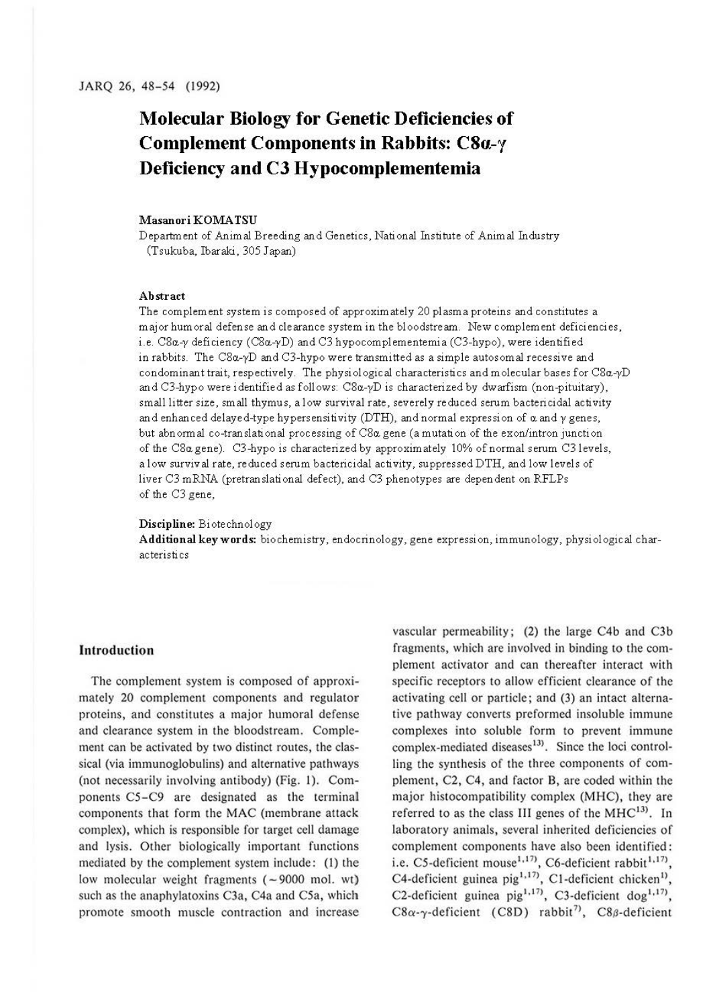# **Molecular Biology for Genetic Deficiencies of Complement Components in Rabbits:** *C8a-y*  **Deficiency and CJ Hypocomplementemia**

#### **MasanoriKOMATSU**

Department of Animal Breeding and Genetics, National Institute of Animal Industry (Tsukuba, Ibaraki, 305 Japan)

#### **Abstract**

The complement system is composed of approximately 20 plasma proteins and constitutes a major hum oral defense and clearance system in the bloodstream. New complement deficiencies, i.e. C8a.-y deficiency (C8a.-yD) and C3 hypocomplementemia (C3-hypo). were identified in rabbits. The C8a.-yD and C3-hypo were transmitted as a simple autos om al recessive and condominant trait, respectively. The physiological characteristics and molecular bases for C8a.-yD and C3-hypo were identified as follows: C8a.-yD is characterized *by* dwarfism (non-pituitary), small litter size, small thymus, a low survival rate, severely reduced serum bactericidal activity and enhanced delayed-type hypersensitivity (DTH), and normal expression of  $\alpha$  and  $\gamma$  genes, but abnormal co-translational processing of C8a. gene (a mutation of the exon/intron junction of the C8a.gene). C3-hypo is characterized *by* approximately 10% of normal serum C3 levels. a low survival rate, reduced serum bactericidal activity, suppressed DTH. and low levels of liver C3 mRNA (pretranslational defect). and C3 phenotypes are dependent on RFLPs of the C3 gene,

#### **Discipline:** Biotechnology

**Additional keywords:** biochemistry, endocrinology, gene expression, immunology, physiological characteristics

# **Introduction**

The complement system is composed of approximately 20 complement components and regulator proteins, and constitutes a major humoral defense and clearance system in the bloodstream. Complement can be activated by two distinct routes, the classical (via immunoglobulins) and alternative pathways (not necessarily involving antibody) (Fig. **l).** Components C5-C9 are designated as the terminal components that form the MAC (membrane attack complex), which is responsible for target cell damage and lysis. Other biologically important functions mediated by the complement system include: (I) the low molecular weight fragments  $(-9000 \text{ mol. wt})$ such as the anaphylatoxins C3a, C4a and C5a, which promote smooth muscle contraction and increase vascular permeability; (2) the large C4b and C3b fragments, which are involved in binding to the complement activator and can thereafter interact with specific receptors to allow efficient clearance of the activating cell or particle; and (3) an intact alternative pathway converts preformed insoluble immune complexes into soluble form to prevent immune complex-mediated diseases<sup>13</sup>. Since the loci controlling the synthesis of the three components of complement, C2, C4, and factor 8, are coded within the major histocompatibility complex (MHC), they are referred to as the class III genes of the  $MHC^{13}$ . In laboratory animals, several inherited deficiencies of complement components have also been identified: i.e. C5-deficient mouse<sup>1,17)</sup>, C6-deficient rabbit<sup>1,17)</sup>, C4-deficient guinea  $\pi$  pig<sup>1,17</sup>, C1-deficient chicken<sup>1</sup>, C2-deficient guinea pig<sup>1,17</sup>, C3-deficient dog<sup>1,17</sup>, C8 $\alpha$ - $\gamma$ -deficient (C8D) rabbit<sup>7)</sup>, C8 $\beta$ -deficient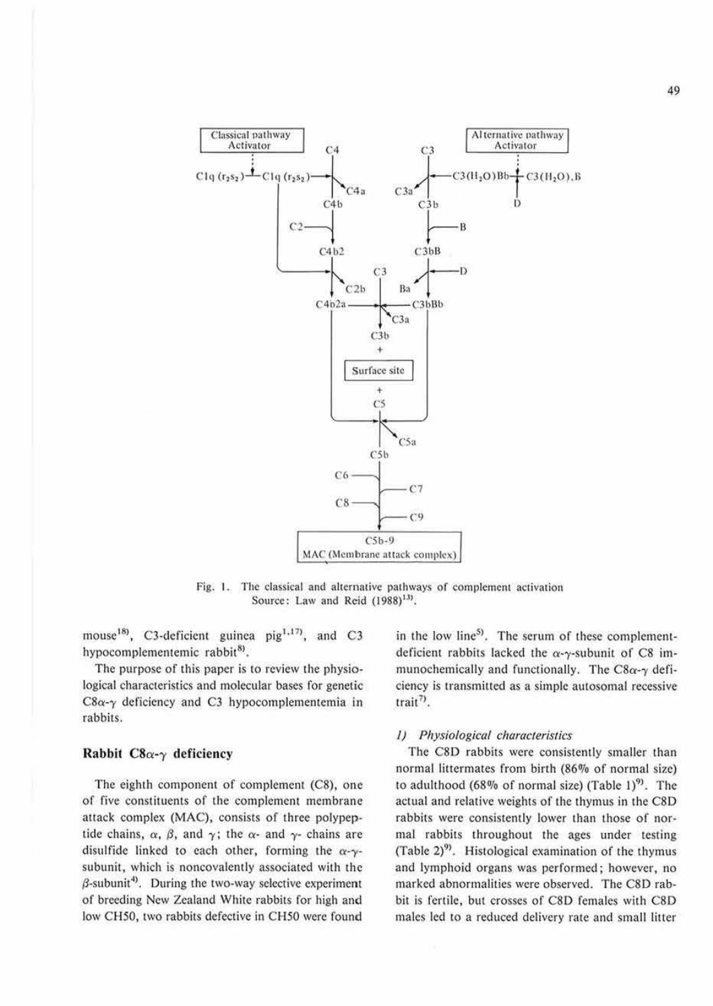

Fig. 1. The classical and alternative pathways of complement activation Source: Law and Reid (1988)<sup>13)</sup>.

mouse<sup>18)</sup>, C3-deficient guinea pig<sup>1,17)</sup>, and C3 hypocomplementemic rabbit<sup>8)</sup>.

The purpose of this paper is to review the physiological characteristics and molecular bases for genetic  $C8\alpha-\gamma$  deficiency and C3 hypocomplementemia in rabbits.

# Rabbit  $C8\alpha-\gamma$  deficiency

The eighth component of complement (C8), one of five constituents of the complement membrane attack complex (MAC), consists of three polypeptide chains,  $\alpha$ ,  $\beta$ , and  $\gamma$ ; the  $\alpha$ - and  $\gamma$ - chains are disulfide linked to each other, forming the  $\alpha$ -ysubunit, which is noncovalently associated with the  $\beta$ -subunit<sup>4)</sup>. During the two-way selective experiment of breeding New Zealand White rabbits for high and low CH50, two rabbits defective in CH50 were found in the low line<sup>5)</sup>. The serum of these complementdeficient rabbits lacked the  $\alpha$ - $\gamma$ -subunit of C8 immunochemically and functionally. The  $C8\alpha-\gamma$  deficiency is transmitted as a simple autosomal recessive  $train$ <sup>7</sup>.

# 1) Physiological characteristics

The C8D rabbits were consistently smaller than normal littermates from birth (86% of normal size) to adulthood (68% of normal size) (Table 1) $^{9}$ . The actual and relative weights of the thymus in the C8D rabbits were consistently lower than those of normal rabbits throughout the ages under testing (Table 2)<sup>9)</sup>. Histological examination of the thymus and lymphoid organs was performed; however, no marked abnormalities were observed. The C8D rabbit is fertile, but crosses of C8D females with C8D males led to a reduced delivery rate and small litter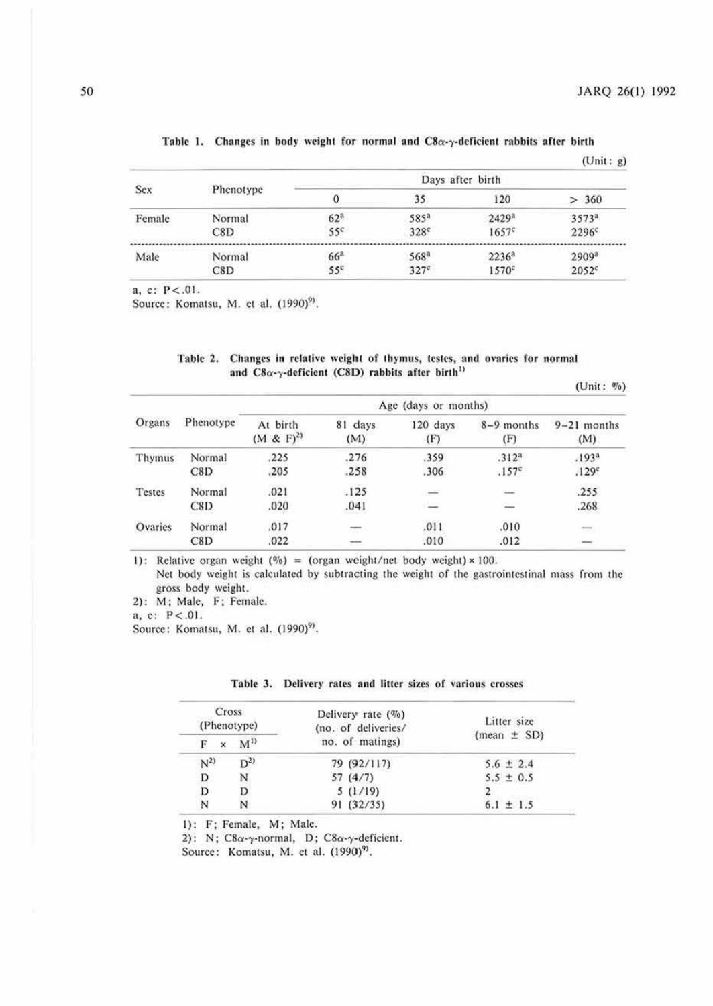|        |           |                 |                  |                   | (Unit: g)         |
|--------|-----------|-----------------|------------------|-------------------|-------------------|
| Sex    |           |                 |                  | Days after birth  |                   |
|        | Phenotype |                 | 35               | 120               | 360<br>↘          |
| Female | Normal    | 62 <sup>a</sup> | 585ª             | 2429 <sup>a</sup> | 3573 <sup>a</sup> |
|        | C8D       | 55 <sup>c</sup> | 328 <sup>c</sup> | 1657c             | $2296$ c          |
| Male   | Normal    | 66 <sup>a</sup> | 568ª             | $2236^a$          | 2909 <sup>a</sup> |
|        | C8D       | 55 <sup>c</sup> | $327^\circ$      | $1570^{\circ}$    | $2052^{\circ}$    |

### Table 1. Changes in body weight for normal and  $C8\alpha - \gamma$ -deficient rabbits after birth

 $a, c: P < .01.$ 

Source: Komatsu, M. et al. (1990)<sup>9)</sup>.

#### Table 2. Changes in relative weight of thymus, testes, and ovaries for normal and  $C8\alpha$ - $\gamma$ -deficient (C8D) rabbits after birth<sup>1)</sup>

 $(Unit: %)$ 

| Organs  |           | Age (days or months)      |                |                 |                     |                      |
|---------|-----------|---------------------------|----------------|-----------------|---------------------|----------------------|
|         | Phenotype | At birth<br>$(M & F)^{2}$ | 81 days<br>(M) | 120 days<br>(F) | $8-9$ months<br>(F) | $9-21$ months<br>(M) |
| Thymus  | Normal    | .225                      | .276           | .359            | .312 <sup>a</sup>   | .193 <sup>a</sup>    |
|         | C8D       | .205                      | .258           | .306            | .157c               | .129 <sup>c</sup>    |
| Testes  | Normal    | .021                      | .125           | $\sim$          | men.                | .255                 |
|         | C8D       | .020                      | .041           | $\equiv$        | $=$                 | .268                 |
| Ovaries | Normal    | .017                      | 2005           | .011            | .010                | $\sim$               |
|         | C8D       | .022                      | $\frac{1}{2}$  | .010            | .012                |                      |

1): Relative organ weight  $(\%)$  = (organ weight/net body weight) × 100.

Net body weight is calculated by subtracting the weight of the gastrointestinal mass from the gross body weight.

2): M; Male, F; Female.

 $a, c: P < .01.$ 

Source: Komatsu, M. et al. (1990)<sup>9)</sup>.

| Table 3. Delivery rates and litter sizes of various crosses |  |  |
|-------------------------------------------------------------|--|--|
|-------------------------------------------------------------|--|--|

| Cross<br>(Phenotype) |                | Delivery rate $(\%)$<br>(no. of deliveries/ | Litter size     |
|----------------------|----------------|---------------------------------------------|-----------------|
| F<br>$\times$        | M <sup>1</sup> | no. of matings)                             | $(mean \pm SD)$ |
| $N^{2}$              | $D^{2}$        | 79 (92/117)                                 | $5.6 \pm 2.4$   |
| D                    | N              | 57(4/7)                                     | $5.5 \pm 0.5$   |
| D                    | D              | 5(1/19)                                     |                 |
| N                    | N              | 91 (32/35)                                  | $6.1 \pm 1.5$   |

1): F; Female, M; Male.

2): N;  $C8\alpha$ -y-normal, D;  $C8\alpha$ -y-deficient.

Source: Komatsu, M. et al. (1990)<sup>9)</sup>.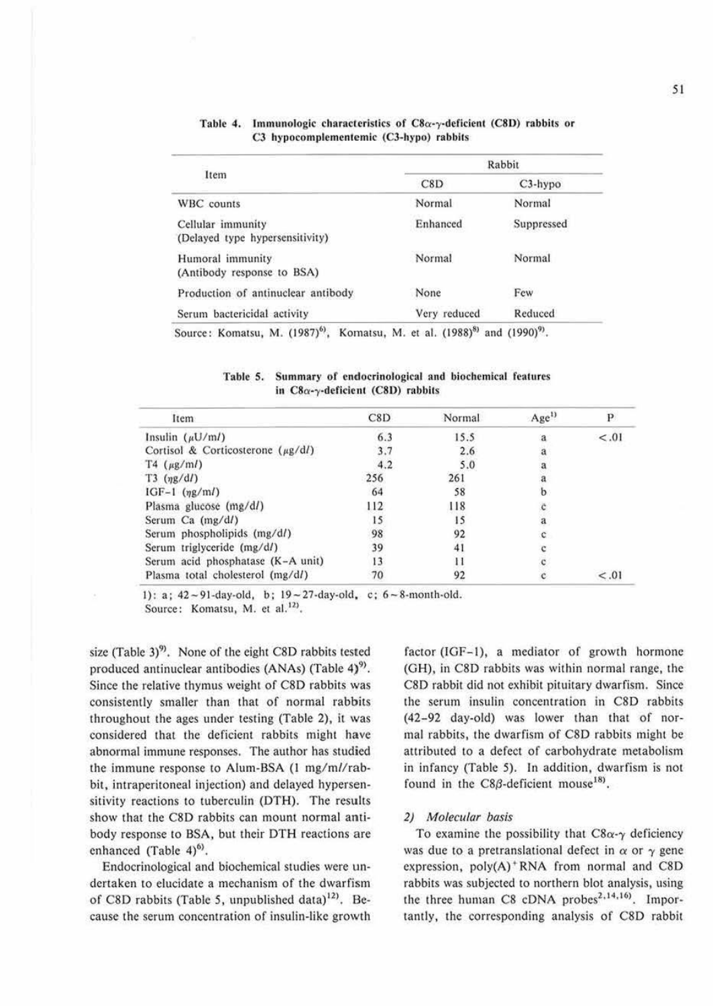|                                                      | Rabbit       |            |  |
|------------------------------------------------------|--------------|------------|--|
| Item                                                 | C8D          | $C3-hypo$  |  |
| WBC counts                                           | Normal       | Normal     |  |
| Cellular immunity<br>(Delayed type hypersensitivity) | Enhanced     | Suppressed |  |
| Humoral immunity<br>(Antibody response to BSA)       | Normal       | Normal     |  |
| Production of antinuclear antibody                   | None         | Few        |  |
| Serum bactericidal activity                          | Very reduced | Reduced    |  |

#### Table 4. Immunologic characteristics of  $C8\alpha$ -y-deficient (C8D) rabbits or C3 hypocomplementemic (C3-hypo) rabbits

| Table 5. | Summary of endocrinological and biochemical features |
|----------|------------------------------------------------------|
|          | in $C8\alpha$ -y-deficient (C8D) rabbits             |

| Item                                    | C8D | Normal | Age <sup>1)</sup> | Р      |
|-----------------------------------------|-----|--------|-------------------|--------|
| Insulin $(\mu U/ml)$                    | 6.3 | 15.5   | а                 | $-.01$ |
| Cortisol & Corticosterone ( $\mu$ g/dl) | 3.7 | 2.6    |                   |        |
| $T4 \ (\mu g/ml)$                       | 4.2 | 5.0    |                   |        |
| $T3$ ( $\eta g/dl$ )                    | 256 | 261    |                   |        |
| IGF-1 $(\eta g/ml)$                     | 64  | 58     |                   |        |
| Plasma glucose (mg/d/)                  | 112 | 118    |                   |        |
| Serum Ca $(mg/dl)$                      | 15  | 15     | $\bf{a}$          |        |
| Serum phospholipids (mg/d/)             | 98  | 92     | c                 |        |
| Serum triglyceride (mg/d/)              | 39  | 41     |                   |        |
| Serum acid phosphatase (K-A unit)       | 13  |        |                   |        |
| Plasma total cholesterol (mg/d/)        | 70  | 92     |                   | < 0.01 |

1): a;  $42 \sim 91$ -day-old, b;  $19 \sim 27$ -day-old, c;  $6 \sim 8$ -month-old. Source: Komatsu, M. et al.<sup>12)</sup>.

size (Table 3)<sup>9)</sup>. None of the eight C8D rabbits tested produced antinuclear antibodies (ANAs) (Table 4)<sup>9)</sup>. Since the relative thymus weight of C8D rabbits was consistently smaller than that of normal rabbits throughout the ages under testing (Table 2), it was considered that the deficient rabbits might have abnormal immune responses. The author has studied the immune response to Alum-BSA (1 mg/ml/rabbit, intraperitoneal injection) and delayed hypersensitivity reactions to tuberculin (DTH). The results show that the C8D rabbits can mount normal antibody response to BSA, but their DTH reactions are enhanced (Table 4)<sup>6)</sup>.

Endocrinological and biochemical studies were undertaken to elucidate a mechanism of the dwarfism of C8D rabbits (Table 5, unpublished data)<sup>12)</sup>. Because the serum concentration of insulin-like growth factor (IGF-1), a mediator of growth hormone (GH), in C8D rabbits was within normal range, the C8D rabbit did not exhibit pituitary dwarfism. Since the serum insulin concentration in C8D rabbits (42-92 day-old) was lower than that of normal rabbits, the dwarfism of C8D rabbits might be attributed to a defect of carbohydrate metabolism in infancy (Table 5). In addition, dwarfism is not found in the  $C8\beta$ -deficient mouse<sup>18)</sup>.

## 2) Molecular basis

To examine the possibility that  $C8\alpha-\gamma$  deficiency was due to a pretranslational defect in  $\alpha$  or  $\gamma$  gene expression, poly(A)<sup>+</sup>RNA from normal and C8D rabbits was subjected to northern blot analysis, using the three human C8 cDNA probes<sup>2,14,16</sup>. Importantly, the corresponding analysis of C8D rabbit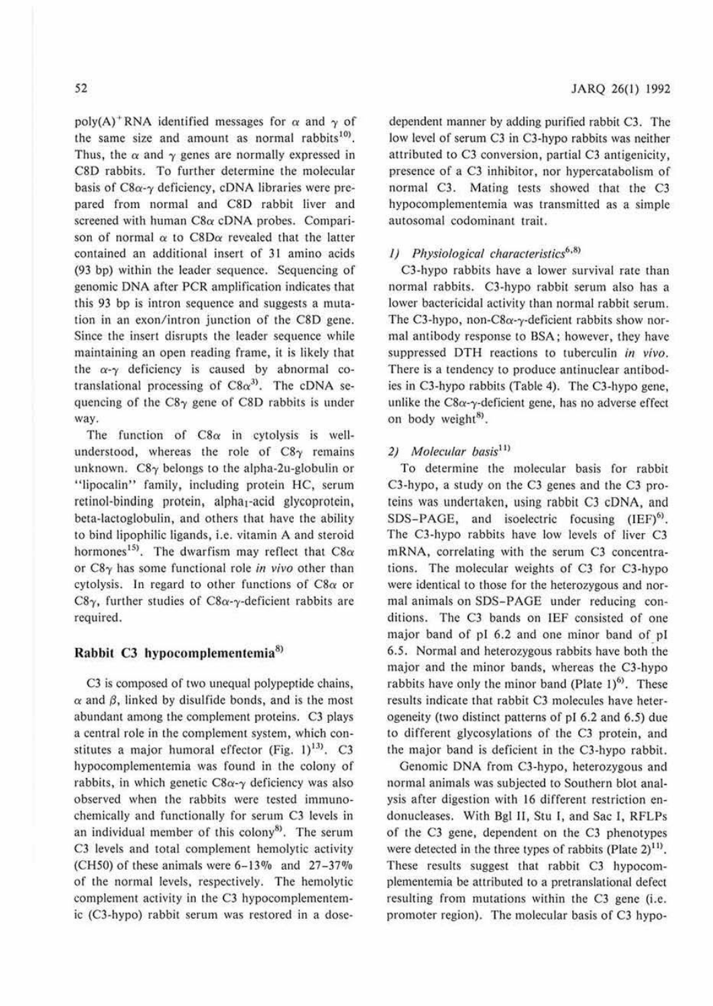poly(A)<sup>+</sup>RNA identified messages for  $\alpha$  and  $\gamma$  of the same size and amount as normal rabbits<sup>10</sup>. Thus, the  $\alpha$  and  $\gamma$  genes are normally expressed in C8D rabbits. To further determine the molecular basis of  $C8\alpha-\gamma$  deficiency, cDNA libraries were prepared from normal and C8D rabbit liver and screened with human *C8a* cDNA probes. Comparison of normal  $\alpha$  to C8D $\alpha$  revealed that the latter contained an additional insert of 31 amino acids (93 bp) within the leader sequence. Sequencing of genomic DNA after PCR amplification indicates that this 93 bp is intron sequence and suggests a mutation in an exon/intron junction of the C8D gene. Since the insert disrupts the leader sequence while maimaining an open reading frame, it is likely that the  $\alpha$ - $\gamma$  deficiency is caused by abnormal cotranslational processing of  $C8\alpha^{3}$ . The cDNA sequencing of the  $C8\gamma$  gene of C8D rabbits is under way.

The function of  $C8\alpha$  in cytolysis is wellunderstood, whereas the role of  $C8<sub>Y</sub>$  remains unknown.  $C8\gamma$  belongs to the alpha-2u-globulin or "lipocalin" family, including protein HC, serum retinol-binding protein, alpha<sub>1</sub>-acid glycoprotein, beta-lactoglobulin, and others that have the ability to bind lipophilic ligands, i.e. vitamin A and steroid hormones<sup>15)</sup>. The dwarfism may reflect that  $C8\alpha$ or C8-y has some functional role *in vivo* other than cytolysis. In regard to other functions of *C8a* or C8 $\gamma$ , further studies of C8 $\alpha$ - $\gamma$ -deficient rabbits are required.

# **Rabbit C3 hypocomplemcntcmia<sup>8</sup> >**

C3 is composed of two unequal polypeptide chains,  $\alpha$  and  $\beta$ , linked by disulfide bonds, and is the most abundant among the complement proteins. C3 plays a central role in the complement system, which constitutes a major humoral effector (Fig. 1)<sup>13</sup>. C3 hypocomplementemia was found in the colony of rabbits, in which genetic  $C8\alpha-\gamma$  deficiency was also observed when the rabbits were tested immunochemically and functionally for scrum C3 levels in an individual member of this colony<sup>8)</sup>. The serum C3 levels and total complement hemolytic activity (CH50) of these animals were  $6-13\%$  and  $27-37\%$ of the normal levels, respectively. The hemolytic complement activity in the C3 hypocomplementemic (C3-hypo) rabbit serum was restored in a dose-

dependent manner by adding purified rabbit C3. The low level of scrum C3 in C3-hypo rabbits was neither attributed to C3 conversion, partial C3 antigenicity, presence of a C3 inhibitor, nor hypercatabolism of normal C3. Mating tests showed that the C3 hypocomplementemia was transmitted as a simple autosomal codominant trait.

# *1)* Physiological characteristics<sup>6,8)</sup>

C3-hypo rabbits have a lower survival rate than normal rabbits. C3-hypo rabbit serum also has a lower bactericidal activity than normal rabbit serum. The C3-hypo, non-C8 $\alpha$ - $\gamma$ -deficient rabbits show normal amibody response to BSA; however, they have suppressed DTH reactions to tuberculin *in vivo.*  There is a tendency to produce antinuclear antibodies in CJ-hypo rabbits (Table 4). The C3-hypo gene, unlike the  $C8\alpha-\gamma$ -deficient gene, has no adverse effect on body weight<sup>8)</sup>.

## 2) Molecular basis<sup>11</sup>

To determine the molecular basis for rabbit C3-hypo, a study on the C3 genes and the C3 proteins was undertaken, using rabbit C3 cDNA, and SDS-PAGE, and isoelectric focusing  $(IEF)^6$ . The C3-hypo rabbits have low levels of liver C3 mRNA, correlating with the serum C3 concentrations. The molecular weights of C3 for C3-hypo were identical to those for the heterozygous and normal animals on SOS-PAGE under reducing conditions. The C3 bands on IEF consisted of one major band of pl 6.2 and one minor band of pl 6.5. Normal and heterozygous rabbits have both the major and the minor bands, whereas the C3-hypo rabbits have only the minor band (Plate  $1)^{6}$ ). These results indicate that rabbit C3 molecules have heterogeneity (two distinct patterns of pl 6.2 and 6.5) due to different glycosylations of the CJ protein, and the major band is deficient in the C3-hypo rabbit.

Genomic DNA from C3-hypo, heterozygous and normal animals was subjected to Southern blot analysis after digestion with 16 different restriction endonucleases. With Bgl II, Stu I, and Sac I, RFLPs of the C3 gene, dependent on the CJ phenotypes were detected in the three types of rabbits (Plate  $2$ )<sup>11)</sup>. These results suggest that rabbit C3 hypocomplementemia be attributed to a pretranslational defect resulting from mutations within the C3 gene (i.e. promoter region). The molecular basis of C3 hypo-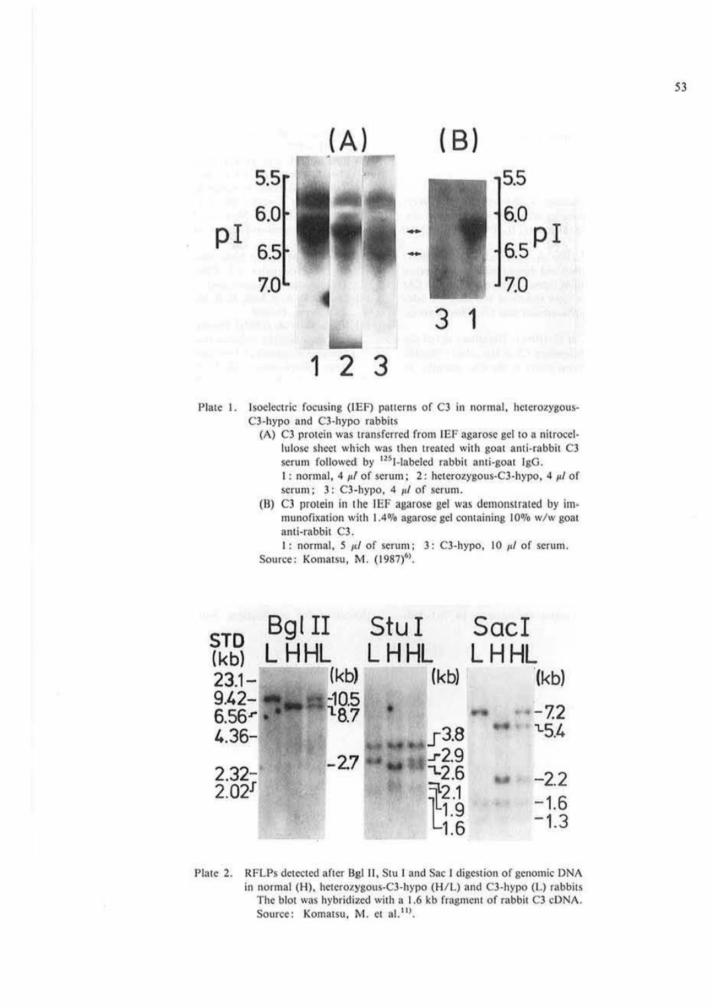



- (A) C3 protein was transferred from IEF agarose gel to a nitrocellulose sheet which was then treated with goat anti-rabbit C3 serum followed by <sup>125</sup>I-labeled rabbit anti-goat IgG. 1 : normal, 4  $\mu$ *I* of serum; 2 : heterozygous-C3-hypo, 4  $\mu$ *I* of
	- serum; 3: C3-hypo, 4  $\mu$ *l* of serum.
- $(B)$  C3 protein in the IEF agarose gel was demonstrated by immunofixation with 1.4% agarose gel containing 10% w/w goat anti-rabbit C3.

1: normal, 5 *μl* of serum; 3: C3-hypo, 10 *μl* of serum. Source: Komatsu, M. (1987)<sup>6)</sup>.